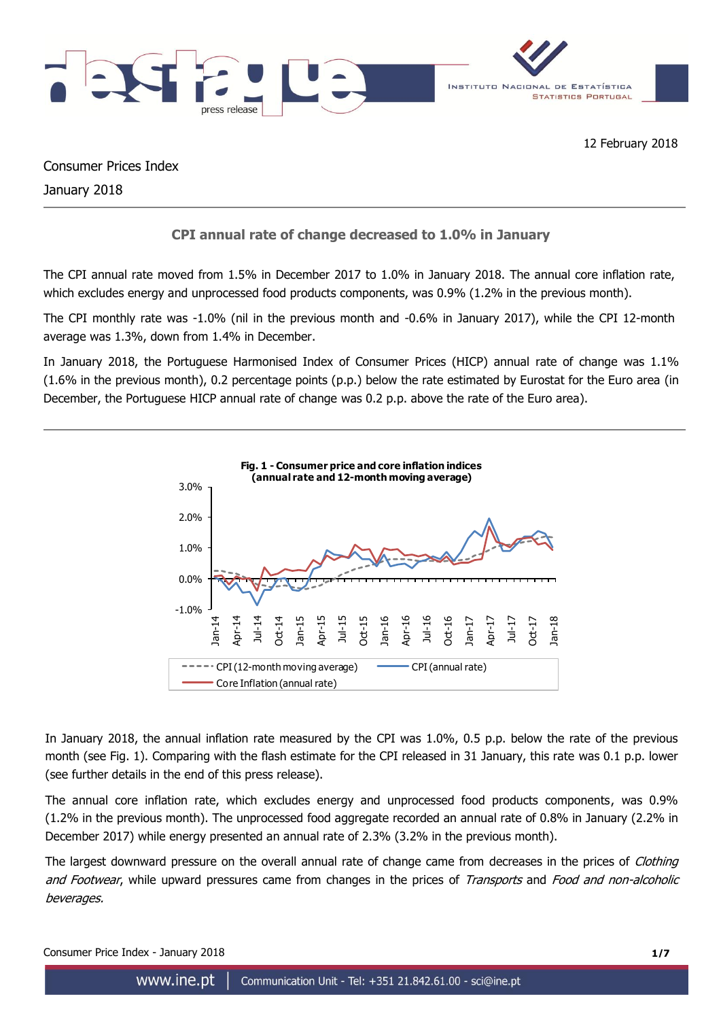

Consumer Prices Index January 2018

## **CPI annual rate of change decreased to 1.0% in January**

The CPI annual rate moved from 1.5% in December 2017 to 1.0% in January 2018. The annual core inflation rate, which excludes energy and unprocessed food products components, was 0.9% (1.2% in the previous month).

The CPI monthly rate was -1.0% (nil in the previous month and -0.6% in January 2017), while the CPI 12-month average was 1.3%, down from 1.4% in December.

In January 2018, the Portuguese Harmonised Index of Consumer Prices (HICP) annual rate of change was 1.1% (1.6% in the previous month), 0.2 percentage points (p.p.) below the rate estimated by Eurostat for the Euro area (in December, the Portuguese HICP annual rate of change was 0.2 p.p. above the rate of the Euro area).



In January 2018, the annual inflation rate measured by the CPI was 1.0%, 0.5 p.p. below the rate of the previous month (see Fig. 1). Comparing with the flash estimate for the CPI released in 31 January, this rate was 0.1 p.p. lower (see further details in the end of this press release).

The annual core inflation rate, which excludes energy and unprocessed food products components, was 0.9% (1.2% in the previous month). The unprocessed food aggregate recorded an annual rate of 0.8% in January (2.2% in December 2017) while energy presented an annual rate of 2.3% (3.2% in the previous month).

The largest downward pressure on the overall annual rate of change came from decreases in the prices of *Clothing* and Footwear, while upward pressures came from changes in the prices of Transports and Food and non-alcoholic beverages.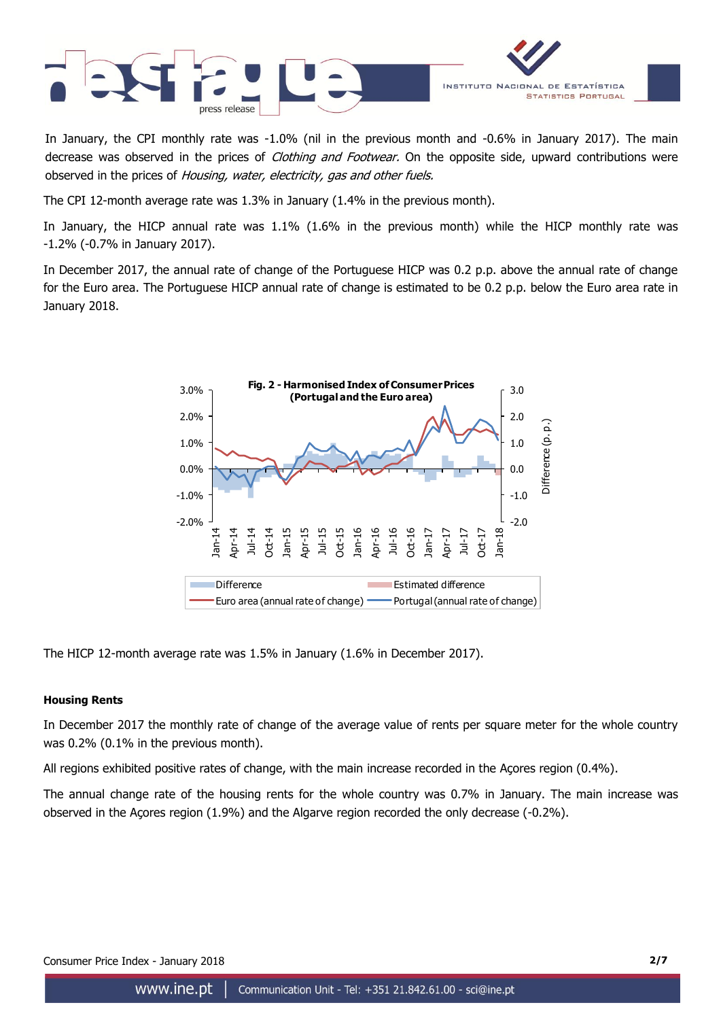

In January, the CPI monthly rate was -1.0% (nil in the previous month and -0.6% in January 2017). The main decrease was observed in the prices of *Clothing and Footwear*. On the opposite side, upward contributions were observed in the prices of Housing, water, electricity, gas and other fuels.

The CPI 12-month average rate was 1.3% in January (1.4% in the previous month).

In January, the HICP annual rate was 1.1% (1.6% in the previous month) while the HICP monthly rate was -1.2% (-0.7% in January 2017).

In December 2017, the annual rate of change of the Portuguese HICP was 0.2 p.p. above the annual rate of change for the Euro area. The Portuguese HICP annual rate of change is estimated to be 0.2 p.p. below the Euro area rate in January 2018.



The HICP 12-month average rate was 1.5% in January (1.6% in December 2017).

## **Housing Rents**

In December 2017 the monthly rate of change of the average value of rents per square meter for the whole country was 0.2% (0.1% in the previous month).

All regions exhibited positive rates of change, with the main increase recorded in the Açores region (0.4%).

The annual change rate of the housing rents for the whole country was 0.7% in January. The main increase was observed in the Açores region (1.9%) and the Algarve region recorded the only decrease (-0.2%).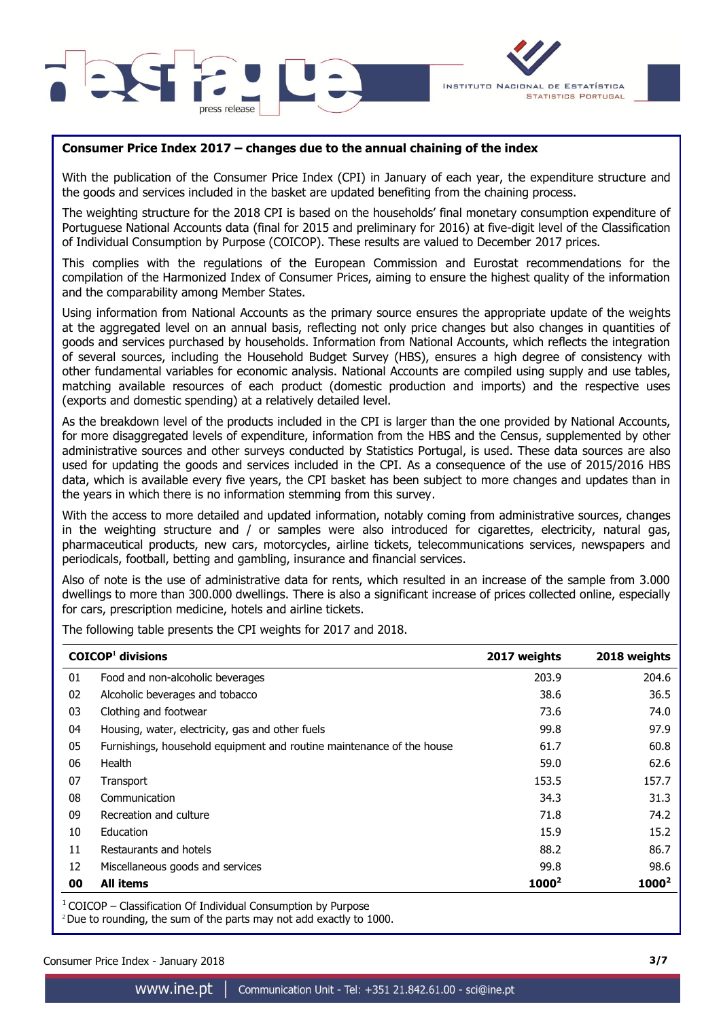



## **Consumer Price Index 2017 – changes due to the annual chaining of the index**

With the publication of the Consumer Price Index (CPI) in January of each year, the expenditure structure and the goods and services included in the basket are updated benefiting from the chaining process.

The weighting structure for the 2018 CPI is based on the households' final monetary consumption expenditure of Portuguese National Accounts data (final for 2015 and preliminary for 2016) at five-digit level of the Classification of Individual Consumption by Purpose (COICOP). These results are valued to December 2017 prices.

This complies with the regulations of the European Commission and Eurostat recommendations for the compilation of the Harmonized Index of Consumer Prices, aiming to ensure the highest quality of the information and the comparability among Member States.

Using information from National Accounts as the primary source ensures the appropriate update of the weights at the aggregated level on an annual basis, reflecting not only price changes but also changes in quantities of goods and services purchased by households. Information from National Accounts, which reflects the integration of several sources, including the Household Budget Survey (HBS), ensures a high degree of consistency with other fundamental variables for economic analysis. National Accounts are compiled using supply and use tables, matching available resources of each product (domestic production and imports) and the respective uses (exports and domestic spending) at a relatively detailed level.

As the breakdown level of the products included in the CPI is larger than the one provided by National Accounts, for more disaggregated levels of expenditure, information from the HBS and the Census, supplemented by other administrative sources and other surveys conducted by Statistics Portugal, is used. These data sources are also used for updating the goods and services included in the CPI. As a consequence of the use of 2015/2016 HBS data, which is available every five years, the CPI basket has been subject to more changes and updates than in the years in which there is no information stemming from this survey.

With the access to more detailed and updated information, notably coming from administrative sources, changes in the weighting structure and / or samples were also introduced for cigarettes, electricity, natural gas, pharmaceutical products, new cars, motorcycles, airline tickets, telecommunications services, newspapers and periodicals, football, betting and gambling, insurance and financial services.

Also of note is the use of administrative data for rents, which resulted in an increase of the sample from 3.000 dwellings to more than 300.000 dwellings. There is also a significant increase of prices collected online, especially for cars, prescription medicine, hotels and airline tickets.

The following table presents the CPI weights for 2017 and 2018.

|    | $COICOP1$ divisions                                                   | 2017 weights      | 2018 weights |
|----|-----------------------------------------------------------------------|-------------------|--------------|
| 01 | Food and non-alcoholic beverages                                      | 203.9             | 204.6        |
| 02 | Alcoholic beverages and tobacco                                       | 38.6              | 36.5         |
| 03 | Clothing and footwear                                                 | 73.6              | 74.0         |
| 04 | Housing, water, electricity, gas and other fuels                      | 99.8              | 97.9         |
| 05 | Furnishings, household equipment and routine maintenance of the house | 61.7              | 60.8         |
| 06 | Health                                                                | 59.0              | 62.6         |
| 07 | Transport                                                             | 153.5             | 157.7        |
| 08 | Communication                                                         | 34.3              | 31.3         |
| 09 | Recreation and culture                                                | 71.8              | 74.2         |
| 10 | Education                                                             | 15.9              | 15.2         |
| 11 | Restaurants and hotels                                                | 88.2              | 86.7         |
| 12 | Miscellaneous goods and services                                      | 99.8              | 98.6         |
| 00 | <b>All items</b>                                                      | 1000 <sup>2</sup> | $1000^2$     |

 $1$  COICOP – Classification Of Individual Consumption by Purpose

 $2^2$ Due to rounding, the sum of the parts may not add exactly to 1000.

Consumer Price Index - January 2018 **3/7**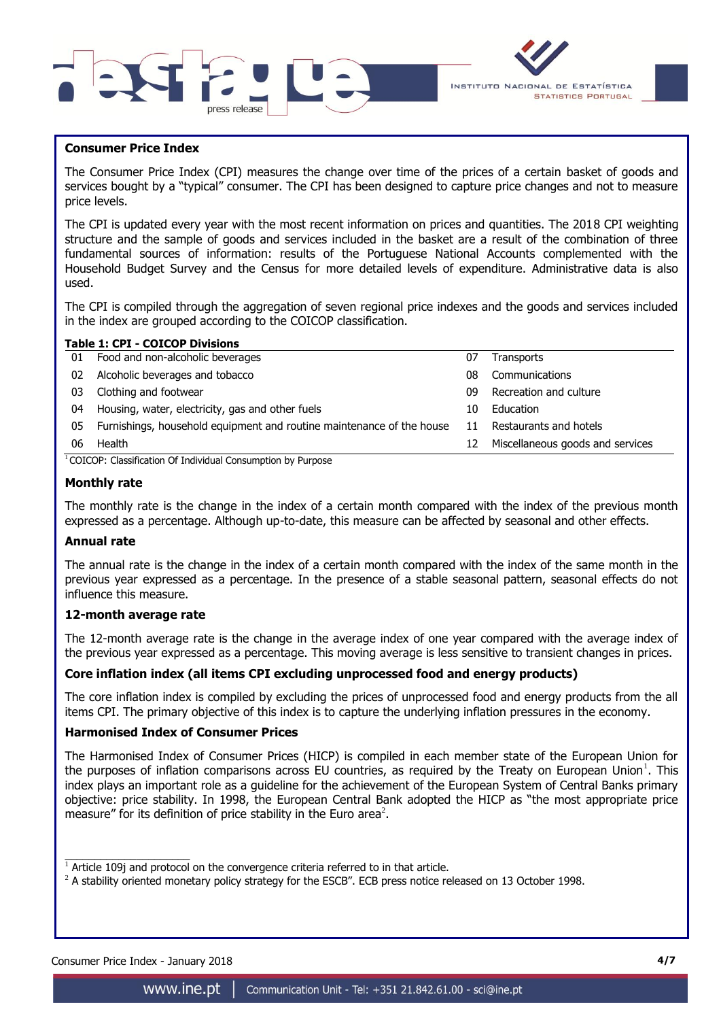



## **Consumer Price Index**

The Consumer Price Index (CPI) measures the change over time of the prices of a certain basket of goods and services bought by a "typical" consumer. The CPI has been designed to capture price changes and not to measure price levels.

The CPI is updated every year with the most recent information on prices and quantities. The 2018 CPI weighting structure and the sample of goods and services included in the basket are a result of the combination of three fundamental sources of information: results of the Portuguese National Accounts complemented with the Household Budget Survey and the Census for more detailed levels of expenditure. Administrative data is also used.

The CPI is compiled through the aggregation of seven regional price indexes and the goods and services included in the index are grouped according to the COICOP classification.

#### **Table 1: CPI - COICOP Divisions**

| 01 | Food and non-alcoholic beverages                                      | 07 | <b>Transports</b>                |
|----|-----------------------------------------------------------------------|----|----------------------------------|
| 02 | Alcoholic beverages and tobacco                                       | 08 | Communications                   |
| 03 | Clothing and footwear                                                 | 09 | Recreation and culture           |
| 04 | Housing, water, electricity, gas and other fuels                      | 10 | Education                        |
| 05 | Furnishings, household equipment and routine maintenance of the house | 11 | Restaurants and hotels           |
| 06 | Health                                                                | 12 | Miscellaneous goods and services |
|    | .                                                                     |    |                                  |

<sup>1</sup> COICOP: Classification Of Individual Consumption by Purpose

## **Monthly rate**

The monthly rate is the change in the index of a certain month compared with the index of the previous month expressed as a percentage. Although up-to-date, this measure can be affected by seasonal and other effects.

## **Annual rate**

The annual rate is the change in the index of a certain month compared with the index of the same month in the previous year expressed as a percentage. In the presence of a stable seasonal pattern, seasonal effects do not influence this measure.

## **12-month average rate**

The 12-month average rate is the change in the average index of one year compared with the average index of the previous year expressed as a percentage. This moving average is less sensitive to transient changes in prices.

## **Core inflation index (all items CPI excluding unprocessed food and energy products)**

The core inflation index is compiled by excluding the prices of unprocessed food and energy products from the all items CPI. The primary objective of this index is to capture the underlying inflation pressures in the economy.

## **Harmonised Index of Consumer Prices**

The Harmonised Index of Consumer Prices (HICP) is compiled in each member state of the European Union for the purposes of inflation comparisons across EU countries, as required by the Treaty on European Union<sup>1</sup>. This index plays an important role as a guideline for the achievement of the European System of Central Banks primary objective: price stability. In 1998, the European Central Bank adopted the HICP as "the most appropriate price measure" for its definition of price stability in the Euro area<sup>2</sup>.

Consumer Price Index - January 2018 **4/7**

 $\frac{1}{2}$  ,  $\frac{1}{2}$  ,  $\frac{1}{2}$  ,  $\frac{1}{2}$  ,  $\frac{1}{2}$  ,  $\frac{1}{2}$  ,  $\frac{1}{2}$  ,  $\frac{1}{2}$  ,  $\frac{1}{2}$  ,  $\frac{1}{2}$  ,  $\frac{1}{2}$  ,  $\frac{1}{2}$  ,  $\frac{1}{2}$  ,  $\frac{1}{2}$  ,  $\frac{1}{2}$  ,  $\frac{1}{2}$  ,  $\frac{1}{2}$  ,  $\frac{1}{2}$  ,  $\frac{1$  $1$  Article 109j and protocol on the convergence criteria referred to in that article.

 $2$  A stability oriented monetary policy strategy for the ESCB". ECB press notice released on 13 October 1998.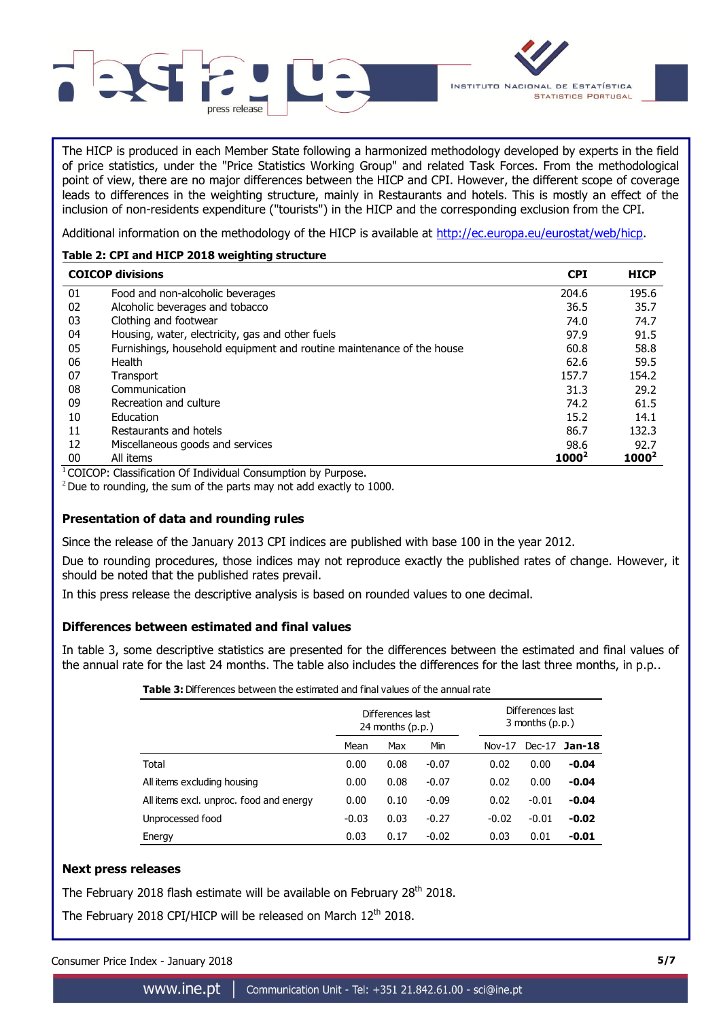

The HICP is produced in each Member State following a harmonized methodology developed by experts in the field of price statistics, under the "Price Statistics Working Group" and related Task Forces. From the methodological point of view, there are no major differences between the HICP and CPI. However, the different scope of coverage leads to differences in the weighting structure, mainly in Restaurants and hotels. This is mostly an effect of the inclusion of non-residents expenditure ("tourists") in the HICP and the corresponding exclusion from the CPI.

Additional information on the methodology of the HICP is available at [http://ec.europa.eu/eurostat/web/hicp.](http://ec.europa.eu/eurostat/web/hicp)

## **Table 2: CPI and HICP 2018 weighting structure**

|    | <b>COICOP divisions</b>                                               | <b>CPI</b> | <b>HICP</b> |
|----|-----------------------------------------------------------------------|------------|-------------|
| 01 | Food and non-alcoholic beverages                                      | 204.6      | 195.6       |
| 02 | Alcoholic beverages and tobacco                                       | 36.5       | 35.7        |
| 03 | Clothing and footwear                                                 | 74.0       | 74.7        |
| 04 | Housing, water, electricity, gas and other fuels                      | 97.9       | 91.5        |
| 05 | Furnishings, household equipment and routine maintenance of the house | 60.8       | 58.8        |
| 06 | Health                                                                | 62.6       | 59.5        |
| 07 | Transport                                                             | 157.7      | 154.2       |
| 08 | Communication                                                         | 31.3       | 29.2        |
| 09 | Recreation and culture                                                | 74.2       | 61.5        |
| 10 | Education                                                             | 15.2       | 14.1        |
| 11 | Restaurants and hotels                                                | 86.7       | 132.3       |
| 12 | Miscellaneous goods and services                                      | 98.6       | 92.7        |
| 00 | All items                                                             | $1000^2$   | $1000^2$    |

 $1$ COICOP: Classification Of Individual Consumption by Purpose.

 $2$  Due to rounding, the sum of the parts may not add exactly to 1000.

## **Presentation of data and rounding rules**

Since the release of the January 2013 CPI indices are published with base 100 in the year 2012.

Due to rounding procedures, those indices may not reproduce exactly the published rates of change. However, it should be noted that the published rates prevail.

In this press release the descriptive analysis is based on rounded values to one decimal.

## **Differences between estimated and final values**

In table 3, some descriptive statistics are presented for the differences between the estimated and final values of the annual rate for the last 24 months. The table also includes the differences for the last three months, in p.p..

| <b>Table 3:</b> Differences between the estimated and final values of the annual rate |         |                                        |         |  |          |                                       |         |  |  |  |  |  |  |
|---------------------------------------------------------------------------------------|---------|----------------------------------------|---------|--|----------|---------------------------------------|---------|--|--|--|--|--|--|
|                                                                                       |         | Differences last<br>24 months $(p.p.)$ |         |  |          | Differences last<br>3 months $(p.p.)$ |         |  |  |  |  |  |  |
|                                                                                       | Mean    | Max                                    | Min     |  | $Nov-17$ | $Dec-17$                              | Jan-18  |  |  |  |  |  |  |
| Total                                                                                 | 0.00    | 0.08                                   | $-0.07$ |  | 0.02     | 0.00                                  | -0.04   |  |  |  |  |  |  |
| All items excluding housing                                                           | 0.00    | 0.08                                   | $-0.07$ |  | 0.02     | 0.00                                  | $-0.04$ |  |  |  |  |  |  |
| All items excl. unproc. food and energy                                               | 0.00    | 0.10                                   | $-0.09$ |  | 0.02     | $-0.01$                               | $-0.04$ |  |  |  |  |  |  |
| Unprocessed food                                                                      | $-0.03$ | 0.03                                   | $-0.27$ |  | $-0.02$  | $-0.01$                               | $-0.02$ |  |  |  |  |  |  |
| Energy                                                                                | 0.03    | 0.17                                   | $-0.02$ |  | 0.03     | 0.01                                  | -0.01   |  |  |  |  |  |  |

## **Next press releases**

The February 2018 flash estimate will be available on February 28<sup>th</sup> 2018.

The February 2018 CPI/HICP will be released on March 12<sup>th</sup> 2018.

Consumer Price Index - January 2018 **5/7**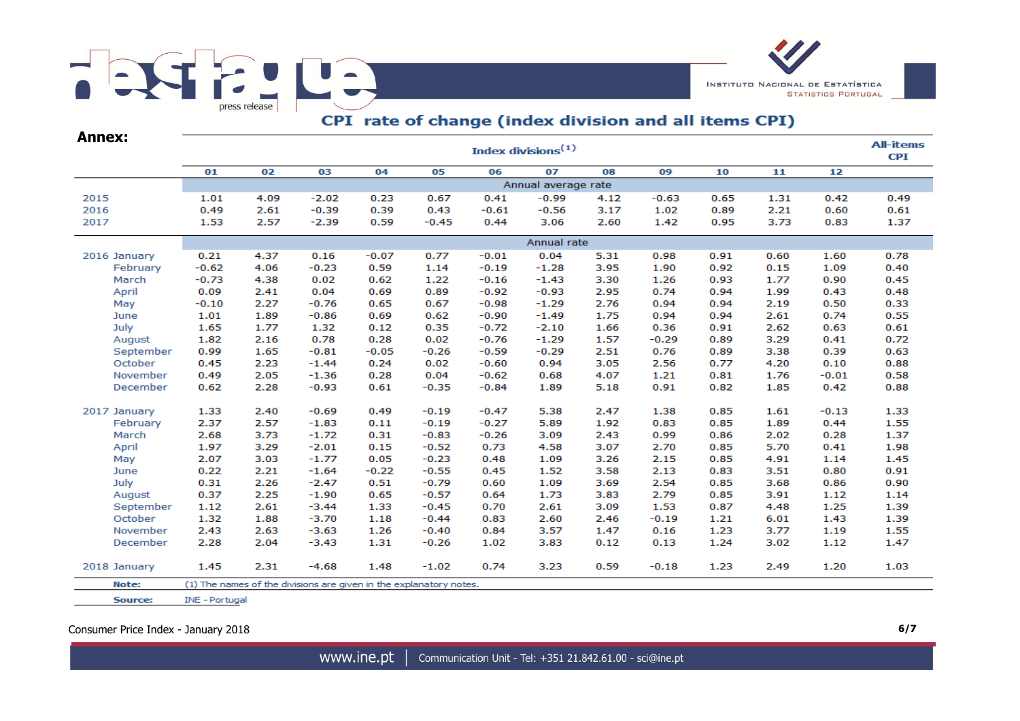# E JUA  $\overline{\phantom{a}}$ press release



# CPI rate of change (index division and all items CPI)

| <b>Annex:</b> |                       |      |                                                                    |         |         |         | Index divisions <sup>(1)</sup> |      |         |      |      |         | <b>All-items</b><br><b>CPI</b> |  |  |
|---------------|-----------------------|------|--------------------------------------------------------------------|---------|---------|---------|--------------------------------|------|---------|------|------|---------|--------------------------------|--|--|
|               | 01                    | 02   | 03                                                                 | 04      | 05      | 06      | 07                             | 08   | 09      | 10   | 11   | 12      |                                |  |  |
|               |                       |      |                                                                    |         |         |         | Annual average rate            |      |         |      |      |         |                                |  |  |
| 2015          | 1.01                  | 4.09 | $-2.02$                                                            | 0.23    | 0.67    | 0.41    | $-0.99$                        | 4.12 | $-0.63$ | 0.65 | 1.31 | 0.42    | 0.49                           |  |  |
| 2016          | 0.49                  | 2.61 | $-0.39$                                                            | 0.39    | 0.43    | $-0.61$ | $-0.56$                        | 3.17 | 1.02    | 0.89 | 2.21 | 0.60    | 0.61                           |  |  |
| 2017          | 1.53                  | 2.57 | $-2.39$                                                            | 0.59    | $-0.45$ | 0.44    | 3.06                           | 2.60 | 1.42    | 0.95 | 3.73 | 0.83    | 1.37                           |  |  |
|               | Annual rate           |      |                                                                    |         |         |         |                                |      |         |      |      |         |                                |  |  |
| 2016 January  | 0.21                  | 4.37 | 0.16                                                               | $-0.07$ | 0.77    | $-0.01$ | 0.04                           | 5.31 | 0.98    | 0.91 | 0.60 | 1.60    | 0.78                           |  |  |
| February      | $-0.62$               | 4.06 | $-0.23$                                                            | 0.59    | 1.14    | $-0.19$ | $-1.28$                        | 3.95 | 1.90    | 0.92 | 0.15 | 1.09    | 0.40                           |  |  |
| March         | $-0.73$               | 4.38 | 0.02                                                               | 0.62    | 1.22    | $-0.16$ | $-1.43$                        | 3.30 | 1.26    | 0.93 | 1.77 | 0.90    | 0.45                           |  |  |
| April         | 0.09                  | 2.41 | 0.04                                                               | 0.69    | 0.89    | $-0.92$ | $-0.93$                        | 2.95 | 0.74    | 0.94 | 1.99 | 0.43    | 0.48                           |  |  |
| May           | $-0.10$               | 2.27 | $-0.76$                                                            | 0.65    | 0.67    | $-0.98$ | $-1.29$                        | 2.76 | 0.94    | 0.94 | 2.19 | 0.50    | 0.33                           |  |  |
| June          | 1.01                  | 1.89 | $-0.86$                                                            | 0.69    | 0.62    | $-0.90$ | $-1.49$                        | 1.75 | 0.94    | 0.94 | 2.61 | 0.74    | 0.55                           |  |  |
| July          | 1.65                  | 1.77 | 1.32                                                               | 0.12    | 0.35    | $-0.72$ | $-2.10$                        | 1.66 | 0.36    | 0.91 | 2.62 | 0.63    | 0.61                           |  |  |
| August        | 1.82                  | 2.16 | 0.78                                                               | 0.28    | 0.02    | $-0.76$ | $-1.29$                        | 1.57 | $-0.29$ | 0.89 | 3.29 | 0.41    | 0.72                           |  |  |
| September     | 0.99                  | 1.65 | $-0.81$                                                            | $-0.05$ | $-0.26$ | $-0.59$ | $-0.29$                        | 2.51 | 0.76    | 0.89 | 3.38 | 0.39    | 0.63                           |  |  |
| October       | 0.45                  | 2.23 | $-1.44$                                                            | 0.24    | 0.02    | $-0.60$ | 0.94                           | 3.05 | 2.56    | 0.77 | 4.20 | 0.10    | 0.88                           |  |  |
| November      | 0.49                  | 2.05 | $-1.36$                                                            | 0.28    | 0.04    | $-0.62$ | 0.68                           | 4.07 | 1.21    | 0.81 | 1.76 | $-0.01$ | 0.58                           |  |  |
| December      | 0.62                  | 2.28 | $-0.93$                                                            | 0.61    | $-0.35$ | $-0.84$ | 1.89                           | 5.18 | 0.91    | 0.82 | 1.85 | 0.42    | 0.88                           |  |  |
| 2017 January  | 1.33                  | 2.40 | $-0.69$                                                            | 0.49    | $-0.19$ | $-0.47$ | 5.38                           | 2.47 | 1.38    | 0.85 | 1.61 | $-0.13$ | 1.33                           |  |  |
| February      | 2.37                  | 2.57 | $-1.83$                                                            | 0.11    | $-0.19$ | $-0.27$ | 5.89                           | 1.92 | 0.83    | 0.85 | 1.89 | 0.44    | 1.55                           |  |  |
| March         | 2.68                  | 3.73 | $-1.72$                                                            | 0.31    | $-0.83$ | $-0.26$ | 3.09                           | 2.43 | 0.99    | 0.86 | 2.02 | 0.28    | 1.37                           |  |  |
| April         | 1.97                  | 3.29 | $-2.01$                                                            | 0.15    | $-0.52$ | 0.73    | 4.58                           | 3.07 | 2.70    | 0.85 | 5.70 | 0.41    | 1.98                           |  |  |
| May           | 2.07                  | 3.03 | $-1.77$                                                            | 0.05    | $-0.23$ | 0.48    | 1.09                           | 3.26 | 2.15    | 0.85 | 4.91 | 1.14    | 1.45                           |  |  |
| June          | 0.22                  | 2.21 | $-1.64$                                                            | $-0.22$ | $-0.55$ | 0.45    | 1.52                           | 3.58 | 2.13    | 0.83 | 3.51 | 0.80    | 0.91                           |  |  |
| July          | 0.31                  | 2.26 | $-2.47$                                                            | 0.51    | $-0.79$ | 0.60    | 1.09                           | 3.69 | 2.54    | 0.85 | 3.68 | 0.86    | 0.90                           |  |  |
| August        | 0.37                  | 2.25 | $-1.90$                                                            | 0.65    | $-0.57$ | 0.64    | 1.73                           | 3.83 | 2.79    | 0.85 | 3.91 | 1.12    | 1.14                           |  |  |
| September     | 1.12                  | 2.61 | $-3.44$                                                            | 1.33    | $-0.45$ | 0.70    | 2.61                           | 3.09 | 1.53    | 0.87 | 4.48 | 1.25    | 1.39                           |  |  |
| October       | 1.32                  | 1.88 | $-3.70$                                                            | 1.18    | $-0.44$ | 0.83    | 2.60                           | 2.46 | $-0.19$ | 1.21 | 6.01 | 1.43    | 1.39                           |  |  |
| November      | 2.43                  | 2.63 | $-3.63$                                                            | 1.26    | $-0.40$ | 0.84    | 3.57                           | 1.47 | 0.16    | 1.23 | 3.77 | 1.19    | 1.55                           |  |  |
| December      | 2.28                  | 2.04 | $-3.43$                                                            | 1.31    | $-0.26$ | 1.02    | 3.83                           | 0.12 | 0.13    | 1.24 | 3.02 | 1.12    | 1.47                           |  |  |
| 2018 January  | 1.45                  | 2.31 | $-4.68$                                                            | 1.48    | $-1.02$ | 0.74    | 3.23                           | 0.59 | $-0.18$ | 1.23 | 2.49 | 1.20    | 1.03                           |  |  |
| Note:         |                       |      | (1) The names of the divisions are given in the explanatory notes. |         |         |         |                                |      |         |      |      |         |                                |  |  |
| Source:       | <b>INE - Portugal</b> |      |                                                                    |         |         |         |                                |      |         |      |      |         |                                |  |  |

Consumer Price Index - January 2018 **6/7**